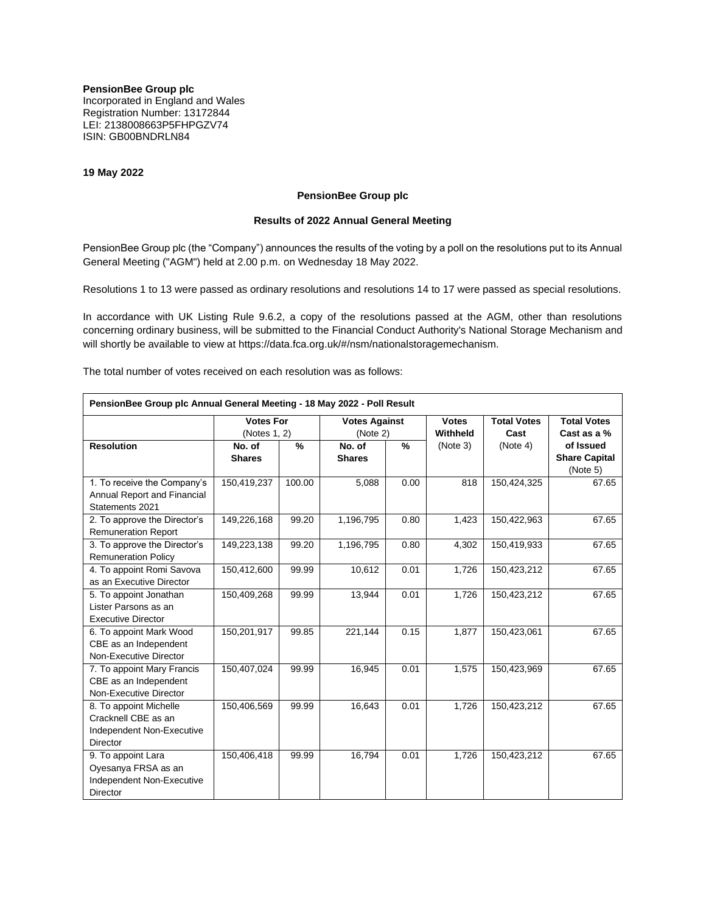**PensionBee Group plc** Incorporated in England and Wales Registration Number: 13172844 LEI: 2138008663P5FHPGZV74 ISIN: GB00BNDRLN84

**19 May 2022**

# **PensionBee Group plc**

## **Results of 2022 Annual General Meeting**

PensionBee Group plc (the "Company") announces the results of the voting by a poll on the resolutions put to its Annual General Meeting ("AGM") held at 2.00 p.m. on Wednesday 18 May 2022.

Resolutions 1 to 13 were passed as ordinary resolutions and resolutions 14 to 17 were passed as special resolutions.

In accordance with UK Listing Rule 9.6.2, a copy of the resolutions passed at the AGM, other than resolutions concerning ordinary business, will be submitted to the Financial Conduct Authority's National Storage Mechanism and will shortly be available to view at https://data.fca.org.uk/#/nsm/nationalstoragemechanism.

The total number of votes received on each resolution was as follows:

| PensionBee Group plc Annual General Meeting - 18 May 2022 - Poll Result |                                  |        |                                  |               |                          |                            |                      |  |  |  |  |
|-------------------------------------------------------------------------|----------------------------------|--------|----------------------------------|---------------|--------------------------|----------------------------|----------------------|--|--|--|--|
|                                                                         | <b>Votes For</b><br>(Notes 1, 2) |        | <b>Votes Against</b><br>(Note 2) |               | <b>Votes</b><br>Withheld | <b>Total Votes</b><br>Cast | <b>Total Votes</b>   |  |  |  |  |
|                                                                         |                                  |        |                                  |               |                          |                            | Cast as a %          |  |  |  |  |
| <b>Resolution</b>                                                       | No. of                           | %      | No. of                           | $\frac{9}{6}$ | (Note 3)                 | (Note 4)                   | of Issued            |  |  |  |  |
|                                                                         | <b>Shares</b>                    |        | <b>Shares</b>                    |               |                          |                            | <b>Share Capital</b> |  |  |  |  |
|                                                                         |                                  |        |                                  |               |                          |                            | (Note 5)             |  |  |  |  |
| 1. To receive the Company's                                             | 150,419,237                      | 100.00 | 5,088                            | 0.00          | 818                      | 150,424,325                | 67.65                |  |  |  |  |
| Annual Report and Financial                                             |                                  |        |                                  |               |                          |                            |                      |  |  |  |  |
| Statements 2021                                                         |                                  |        |                                  |               |                          |                            |                      |  |  |  |  |
| 2. To approve the Director's                                            | 149,226,168                      | 99.20  | 1,196,795                        | 0.80          | 1,423                    | 150,422,963                | 67.65                |  |  |  |  |
| <b>Remuneration Report</b>                                              |                                  |        |                                  |               |                          |                            |                      |  |  |  |  |
| 3. To approve the Director's                                            | 149,223,138                      | 99.20  | 1,196,795                        | 0.80          | 4,302                    | 150,419,933                | 67.65                |  |  |  |  |
| <b>Remuneration Policy</b>                                              |                                  |        |                                  |               |                          |                            |                      |  |  |  |  |
| 4. To appoint Romi Savova                                               | 150,412,600                      | 99.99  | 10,612                           | 0.01          | 1,726                    | 150,423,212                | 67.65                |  |  |  |  |
| as an Executive Director                                                |                                  |        |                                  |               |                          |                            |                      |  |  |  |  |
| 5. To appoint Jonathan                                                  | 150,409,268                      | 99.99  | 13,944                           | 0.01          | 1,726                    | 150,423,212                | 67.65                |  |  |  |  |
| Lister Parsons as an                                                    |                                  |        |                                  |               |                          |                            |                      |  |  |  |  |
| <b>Executive Director</b>                                               |                                  |        |                                  |               |                          |                            |                      |  |  |  |  |
| 6. To appoint Mark Wood                                                 | 150,201,917                      | 99.85  | 221,144                          | 0.15          | 1,877                    | 150,423,061                | 67.65                |  |  |  |  |
| CBE as an Independent                                                   |                                  |        |                                  |               |                          |                            |                      |  |  |  |  |
| Non-Executive Director                                                  |                                  |        |                                  |               |                          |                            |                      |  |  |  |  |
| 7. To appoint Mary Francis                                              | 150,407,024                      | 99.99  | 16,945                           | 0.01          | 1,575                    | 150,423,969                | 67.65                |  |  |  |  |
| CBE as an Independent                                                   |                                  |        |                                  |               |                          |                            |                      |  |  |  |  |
| Non-Executive Director                                                  |                                  |        |                                  |               |                          |                            |                      |  |  |  |  |
| 8. To appoint Michelle                                                  | 150,406,569                      | 99.99  | 16,643                           | 0.01          | 1,726                    | 150,423,212                | 67.65                |  |  |  |  |
| Cracknell CBE as an                                                     |                                  |        |                                  |               |                          |                            |                      |  |  |  |  |
| Independent Non-Executive                                               |                                  |        |                                  |               |                          |                            |                      |  |  |  |  |
| <b>Director</b>                                                         |                                  |        |                                  |               |                          |                            |                      |  |  |  |  |
| 9. To appoint Lara                                                      | 150,406,418                      | 99.99  | 16,794                           | 0.01          | 1,726                    | 150,423,212                | 67.65                |  |  |  |  |
| Oyesanya FRSA as an                                                     |                                  |        |                                  |               |                          |                            |                      |  |  |  |  |
| Independent Non-Executive                                               |                                  |        |                                  |               |                          |                            |                      |  |  |  |  |
| Director                                                                |                                  |        |                                  |               |                          |                            |                      |  |  |  |  |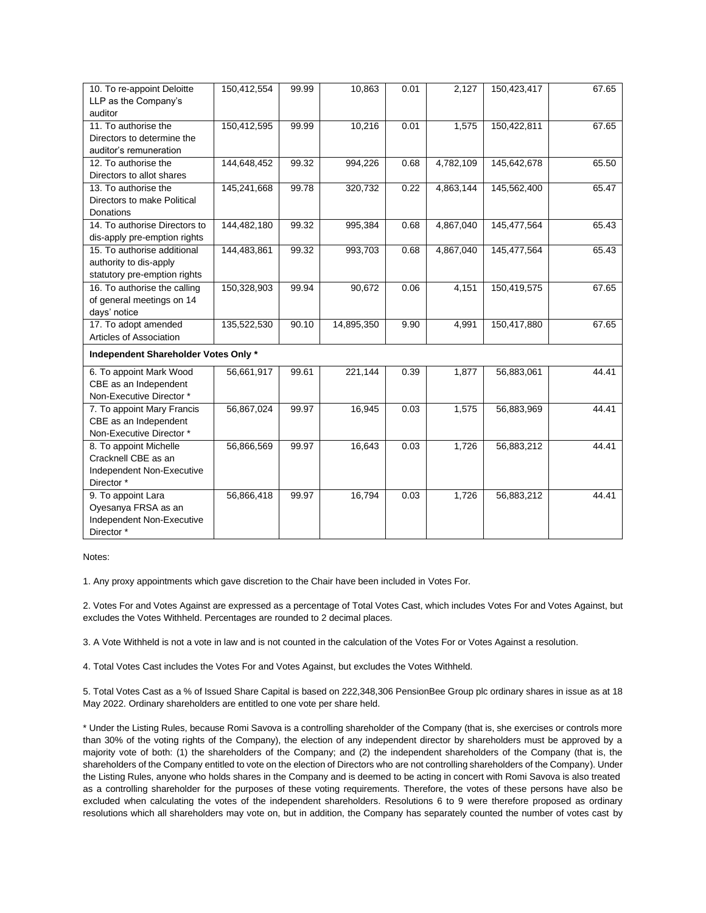| 10. To re-appoint Deloitte           | 150,412,554 | 99.99 | 10,863     | 0.01 | 2,127     | 150,423,417 | 67.65 |  |  |  |
|--------------------------------------|-------------|-------|------------|------|-----------|-------------|-------|--|--|--|
| LLP as the Company's                 |             |       |            |      |           |             |       |  |  |  |
| auditor                              |             |       |            |      |           |             |       |  |  |  |
| 11. To authorise the                 | 150,412,595 | 99.99 | 10,216     | 0.01 | 1,575     | 150,422,811 | 67.65 |  |  |  |
| Directors to determine the           |             |       |            |      |           |             |       |  |  |  |
| auditor's remuneration               |             |       |            |      |           |             |       |  |  |  |
| 12. To authorise the                 | 144,648,452 | 99.32 | 994,226    | 0.68 | 4,782,109 | 145,642,678 | 65.50 |  |  |  |
| Directors to allot shares            |             |       |            |      |           |             |       |  |  |  |
| 13. To authorise the                 | 145,241,668 | 99.78 | 320,732    | 0.22 | 4,863,144 | 145,562,400 | 65.47 |  |  |  |
| Directors to make Political          |             |       |            |      |           |             |       |  |  |  |
| Donations                            |             |       |            |      |           |             |       |  |  |  |
| 14. To authorise Directors to        | 144,482,180 | 99.32 | 995,384    | 0.68 | 4,867,040 | 145,477,564 | 65.43 |  |  |  |
| dis-apply pre-emption rights         |             |       |            |      |           |             |       |  |  |  |
| 15. To authorise additional          | 144,483,861 | 99.32 | 993,703    | 0.68 | 4,867,040 | 145,477,564 | 65.43 |  |  |  |
| authority to dis-apply               |             |       |            |      |           |             |       |  |  |  |
| statutory pre-emption rights         |             |       |            |      |           |             |       |  |  |  |
| 16. To authorise the calling         | 150,328,903 | 99.94 | 90,672     | 0.06 | 4,151     | 150,419,575 | 67.65 |  |  |  |
| of general meetings on 14            |             |       |            |      |           |             |       |  |  |  |
| days' notice                         |             |       |            |      |           |             |       |  |  |  |
| 17. To adopt amended                 | 135,522,530 | 90.10 | 14,895,350 | 9.90 | 4,991     | 150,417,880 | 67.65 |  |  |  |
| Articles of Association              |             |       |            |      |           |             |       |  |  |  |
| Independent Shareholder Votes Only * |             |       |            |      |           |             |       |  |  |  |
| 6. To appoint Mark Wood              | 56,661,917  | 99.61 | 221,144    | 0.39 | 1,877     | 56,883,061  | 44.41 |  |  |  |
| CBE as an Independent                |             |       |            |      |           |             |       |  |  |  |
| Non-Executive Director *             |             |       |            |      |           |             |       |  |  |  |
| 7. To appoint Mary Francis           | 56,867,024  | 99.97 | 16,945     | 0.03 | 1,575     | 56,883,969  | 44.41 |  |  |  |
| CBE as an Independent                |             |       |            |      |           |             |       |  |  |  |
| Non-Executive Director *             |             |       |            |      |           |             |       |  |  |  |
| 8. To appoint Michelle               | 56,866,569  | 99.97 | 16,643     | 0.03 | 1,726     | 56,883,212  | 44.41 |  |  |  |
| Cracknell CBE as an                  |             |       |            |      |           |             |       |  |  |  |
| Independent Non-Executive            |             |       |            |      |           |             |       |  |  |  |
| Director*                            |             |       |            |      |           |             |       |  |  |  |
| 9. To appoint Lara                   | 56,866,418  | 99.97 | 16,794     | 0.03 | 1,726     | 56,883,212  | 44.41 |  |  |  |
| Oyesanya FRSA as an                  |             |       |            |      |           |             |       |  |  |  |
| Independent Non-Executive            |             |       |            |      |           |             |       |  |  |  |
| Director*                            |             |       |            |      |           |             |       |  |  |  |

Notes:

1. Any proxy appointments which gave discretion to the Chair have been included in Votes For.

2. Votes For and Votes Against are expressed as a percentage of Total Votes Cast, which includes Votes For and Votes Against, but excludes the Votes Withheld. Percentages are rounded to 2 decimal places.

3. A Vote Withheld is not a vote in law and is not counted in the calculation of the Votes For or Votes Against a resolution.

4. Total Votes Cast includes the Votes For and Votes Against, but excludes the Votes Withheld.

5. Total Votes Cast as a % of Issued Share Capital is based on 222,348,306 PensionBee Group plc ordinary shares in issue as at 18 May 2022. Ordinary shareholders are entitled to one vote per share held.

\* Under the Listing Rules, because Romi Savova is a controlling shareholder of the Company (that is, she exercises or controls more than 30% of the voting rights of the Company), the election of any independent director by shareholders must be approved by a majority vote of both: (1) the shareholders of the Company; and (2) the independent shareholders of the Company (that is, the shareholders of the Company entitled to vote on the election of Directors who are not controlling shareholders of the Company). Under the Listing Rules, anyone who holds shares in the Company and is deemed to be acting in concert with Romi Savova is also treated as a controlling shareholder for the purposes of these voting requirements. Therefore, the votes of these persons have also be excluded when calculating the votes of the independent shareholders. Resolutions 6 to 9 were therefore proposed as ordinary resolutions which all shareholders may vote on, but in addition, the Company has separately counted the number of votes cast by